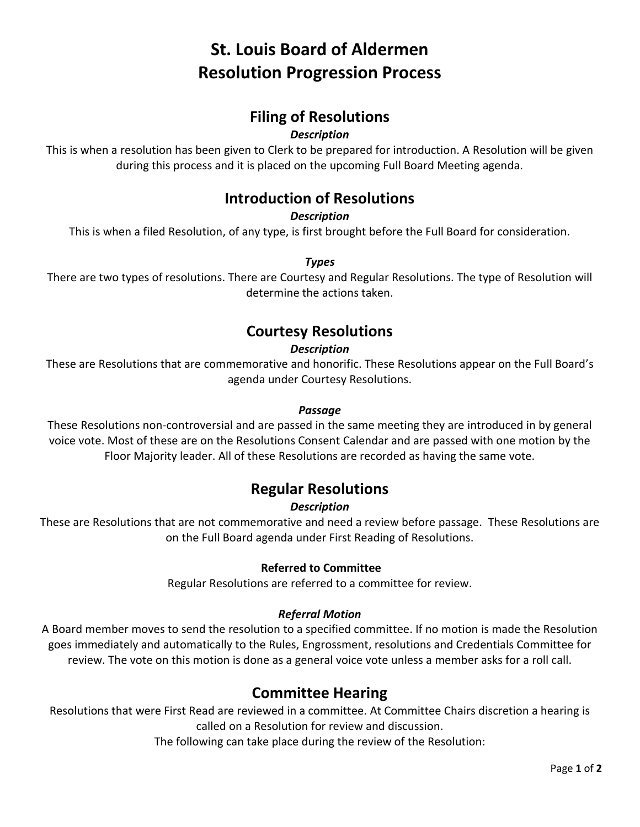# **St. Louis Board of Aldermen Resolution Progression Process**

# **Filing of Resolutions**

### *Description*

This is when a resolution has been given to Clerk to be prepared for introduction. A Resolution will be given during this process and it is placed on the upcoming Full Board Meeting agenda.

# **Introduction of Resolutions**

### *Description*

This is when a filed Resolution, of any type, is first brought before the Full Board for consideration.

*Types*

There are two types of resolutions. There are Courtesy and Regular Resolutions. The type of Resolution will determine the actions taken.

### **Courtesy Resolutions**

### *Description*

These are Resolutions that are commemorative and honorific. These Resolutions appear on the Full Board's agenda under Courtesy Resolutions.

#### *Passage*

These Resolutions non-controversial and are passed in the same meeting they are introduced in by general voice vote. Most of these are on the Resolutions Consent Calendar and are passed with one motion by the Floor Majority leader. All of these Resolutions are recorded as having the same vote.

### **Regular Resolutions**

### *Description*

These are Resolutions that are not commemorative and need a review before passage. These Resolutions are on the Full Board agenda under First Reading of Resolutions.

### **Referred to Committee**

Regular Resolutions are referred to a committee for review.

### *Referral Motion*

A Board member moves to send the resolution to a specified committee. If no motion is made the Resolution goes immediately and automatically to the Rules, Engrossment, resolutions and Credentials Committee for review. The vote on this motion is done as a general voice vote unless a member asks for a roll call.

### **Committee Hearing**

Resolutions that were First Read are reviewed in a committee. At Committee Chairs discretion a hearing is called on a Resolution for review and discussion.

The following can take place during the review of the Resolution: